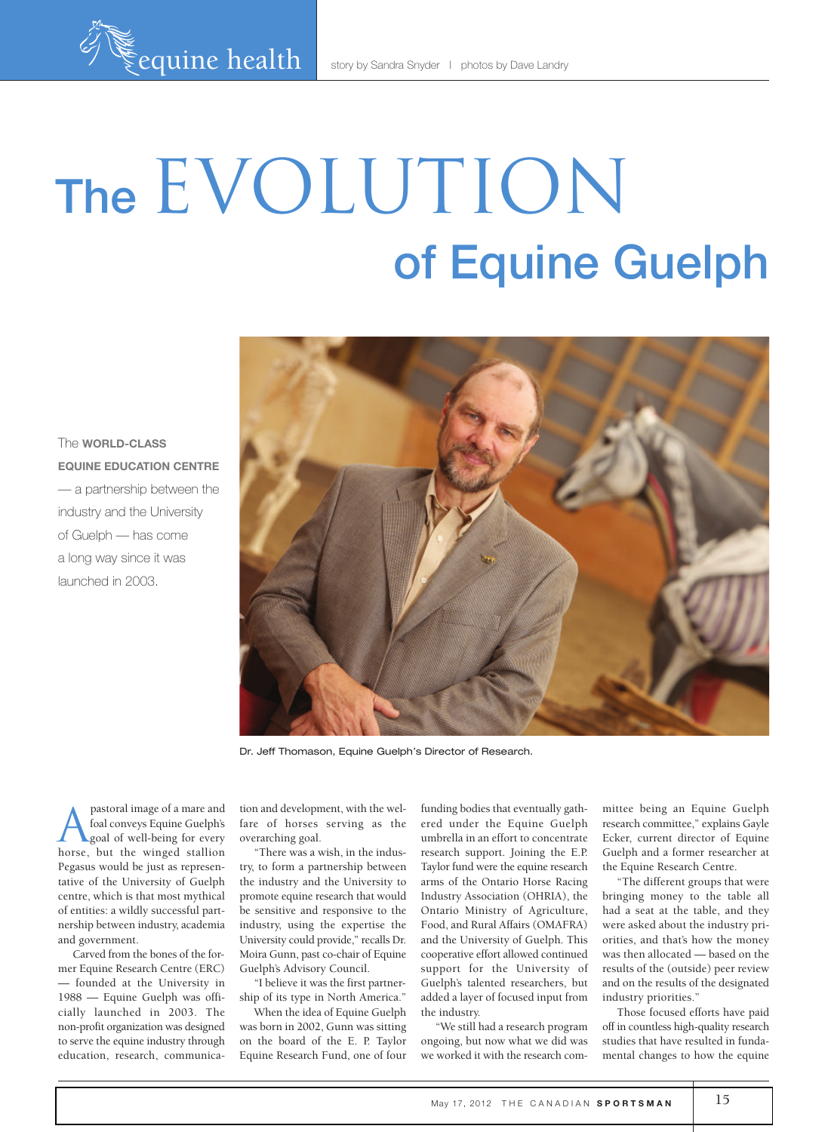# The EVOLUTION of Equine Guelph

The **world-class equine education centre** — a partnership between the industry and the University of Guelph — has come a long way since it was launched in 2003.



Dr. Jeff Thomason, Equine Guelph's Director of Research.

**A** pastoral image of a mare and<br>foal conveys Equine Guelph's<br>goal of well-being for every foal conveys Equine Guelph's goal of well-being for every horse, but the winged stallion Pegasus would be just as representative of the University of Guelph centre, which is that most mythical of entities: a wildly successful partnership between industry, academia and government.

Carved from the bones of the former Equine Research Centre (ERC) — founded at the University in 1988 — Equine Guelph was officially launched in 2003. The non-profit organization was designed to serve the equine industry through education, research, communication and development, with the welfare of horses serving as the overarching goal.

"There was a wish, in the industry, to form a partnership between the industry and the University to promote equine research that would be sensitive and responsive to the industry, using the expertise the University could provide," recalls Dr. Moira Gunn, past co-chair of Equine Guelph's Advisory Council.

"I believe it was the first partnership of its type in North America."

When the idea of Equine Guelph was born in 2002, Gunn was sitting on the board of the E. P. Taylor Equine Research Fund, one of four

funding bodies that eventually gathered under the Equine Guelph umbrella in an effort to concentrate research support. Joining the E.P. Taylor fund were the equine research arms of the Ontario Horse Racing Industry Association (OHRIA), the Ontario Ministry of Agriculture, Food, and Rural Affairs (OMAFRA) and the University of Guelph. This cooperative effort allowed continued support for the University of Guelph's talented researchers, but added a layer of focused input from the industry.

"We still had a research program ongoing, but now what we did was we worked it with the research committee being an Equine Guelph research committee," explains Gayle Ecker, current director of Equine Guelph and a former researcher at the Equine Research Centre.

"The different groups that were bringing money to the table all had a seat at the table, and they were asked about the industry priorities, and that's how the money was then allocated — based on the results of the (outside) peer review and on the results of the designated industry priorities."

Those focused efforts have paid off in countless high-quality research studies that have resulted in fundamental changes to how the equine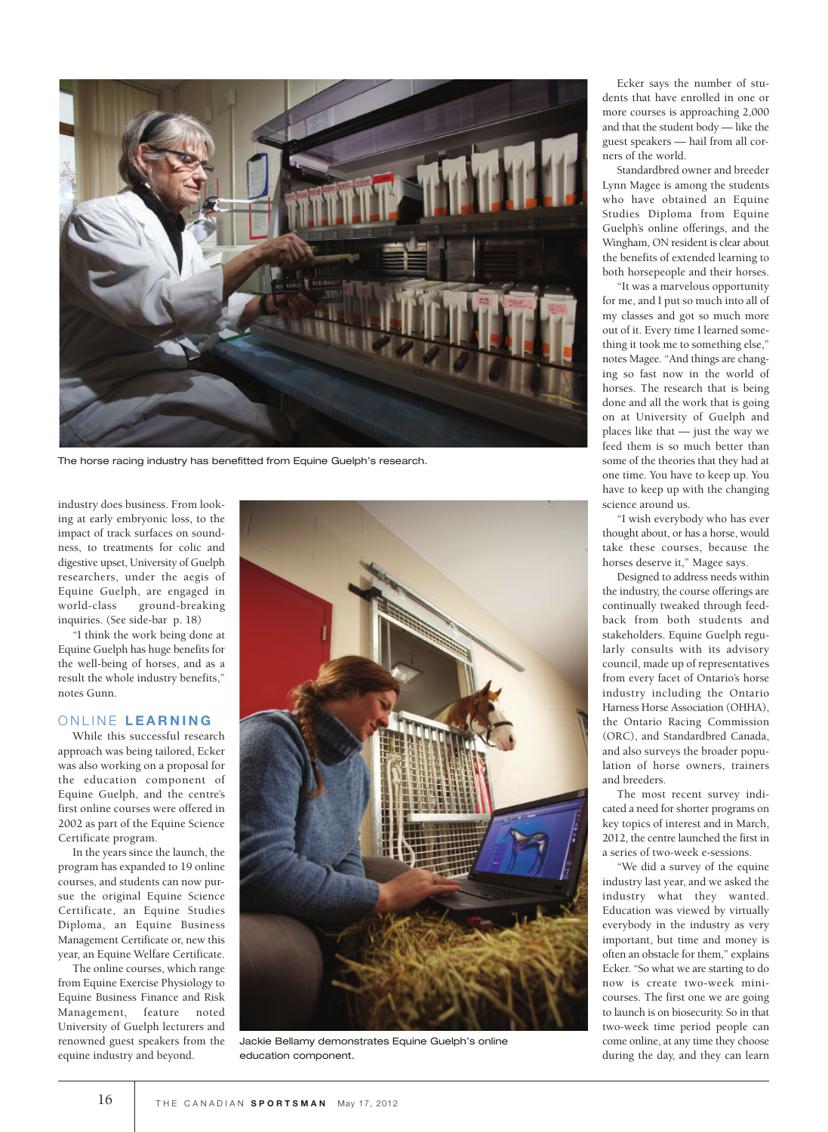

The horse racing industry has benefitted from Equine Guelph's research.

industry does business. From looking at early embryonic loss, to the impact of track surfaces on soundness, to treatments for colic and digestive upset, University of Guelph researchers, under the aegis of Equine Guelph, are engaged in world-class ground-breaking inquiries. (See side-bar p. 18)

"I think the work being done at Equine Guelph has huge benefits for the well-being of horses, and as a result the whole industry benefits," notes Gunn.

#### O N l I N E **l e a r n i n g**

While this successful research approach was being tailored, Ecker was also working on a proposal for the education component of Equine Guelph, and the centre's first online courses were offered in 2002 as part of the Equine Science Certificate program.

In the years since the launch, the program has expanded to 19 online courses, and students can now pursue the original Equine Science Certificate, an Equine Studies Diploma, an Equine Business Management Certificate or, new this year, an Equine Welfare Certificate.

The online courses, which range from Equine Exercise Physiology to Equine Business Finance and Risk Management, feature noted University of Guelph lecturers and renowned guest speakers from the equine industry and beyond.



Jackie Bellamy demonstrates Equine Guelph's online education component.

Ecker says the number of students that have enrolled in one or more courses is approaching 2,000 and that the student body — like the guest speakers — hail from all corners of the world.

Standardbred owner and breeder Lynn Magee is among the students who have obtained an Equine Studies Diploma from Equine Guelph's online offerings, and the Wingham, ON resident is clear about the benefits of extended learning to both horsepeople and their horses.

"It was a marvelous opportunity for me, and I put so much into all of my classes and got so much more out of it. Every time I learned something it took me to something else," notes Magee. "And things are changing so fast now in the world of horses. The research that is being done and all the work that is going on at University of Guelph and places like that — just the way we feed them is so much better than some of the theories that they had at one time. You have to keep up. You have to keep up with the changing science around us.

"I wish everybody who has ever thought about, or has a horse, would take these courses, because the horses deserve it," Magee says.

Designed to address needs within the industry, the course offerings are continually tweaked through feedback from both students and stakeholders. Equine Guelph regularly consults with its advisory council, made up of representatives from every facet of Ontario's horse industry including the Ontario Harness Horse Association (OHHA), the Ontario Racing Commission (ORC), and Standardbred Canada, and also surveys the broader population of horse owners, trainers and breeders.

The most recent survey indicated a need for shorter programs on key topics of interest and in March, 2012, the centre launched the first in a series of two-week e-sessions.

"We did a survey of the equine industry last year, and we asked the industry what they wanted. Education was viewed by virtually everybody in the industry as very important, but time and money is often an obstacle for them," explains Ecker. "So what we are starting to do now is create two-week minicourses. The first one we are going to launch is on biosecurity. So in that two-week time period people can come online, at any time they choose during the day, and they can learn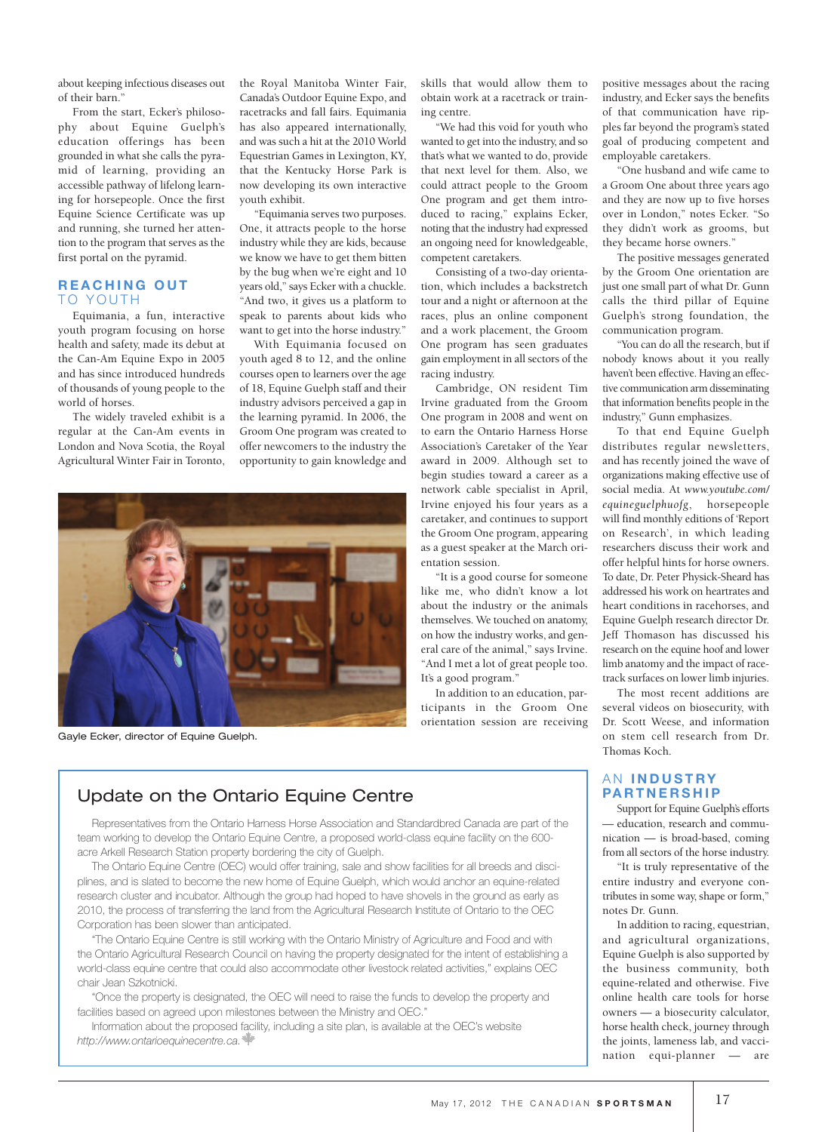about keeping infectious diseases out of their barn."

From the start, Ecker's philosophy about Equine Guelph's education offerings has been grounded in what she calls the pyramid of learning, providing an accessible pathway of lifelong learning for horsepeople. Once the first Equine Science Certificate was up and running, she turned her attention to the program that serves as the first portal on the pyramid.

### **r e a c h i n g o u t** TO YOUTH

Equimania, a fun, interactive youth program focusing on horse health and safety, made its debut at the Can-Am Equine Expo in 2005 and has since introduced hundreds of thousands of young people to the world of horses.

The widely traveled exhibit is a regular at the Can-Am events in London and Nova Scotia, the Royal Agricultural Winter Fair in Toronto,

the Royal Manitoba Winter Fair, Canada's Outdoor Equine Expo, and racetracks and fall fairs. Equimania has also appeared internationally, and was such a hit at the 2010 World Equestrian Games in Lexington, KY, that the Kentucky Horse Park is now developing its own interactive youth exhibit.

"Equimania serves two purposes. One, it attracts people to the horse industry while they are kids, because we know we have to get them bitten by the bug when we're eight and 10 years old," says Ecker with a chuckle. "And two, it gives us a platform to speak to parents about kids who want to get into the horse industry."

With Equimania focused on youth aged 8 to 12, and the online courses open to learners over the age of 18, Equine Guelph staff and their industry advisors perceived a gap in the learning pyramid. In 2006, the Groom One program was created to offer newcomers to the industry the opportunity to gain knowledge and



Gayle Ecker, director of Equine Guelph.

skills that would allow them to obtain work at a racetrack or training centre.

"We had this void for youth who wanted to get into the industry, and so that's what we wanted to do, provide that next level for them. Also, we could attract people to the Groom One program and get them introduced to racing," explains Ecker, noting that the industry had expressed an ongoing need for knowledgeable, competent caretakers.

Consisting of a two-day orientation, which includes a backstretch tour and a night or afternoon at the races, plus an online component and a work placement, the Groom One program has seen graduates gain employment in all sectors of the racing industry.

Cambridge, ON resident Tim Irvine graduated from the Groom One program in 2008 and went on to earn the Ontario Harness Horse Association's Caretaker of the Year award in 2009. Although set to begin studies toward a career as a network cable specialist in April, Irvine enjoyed his four years as a caretaker, and continues to support the Groom One program, appearing as a guest speaker at the March orientation session.

"It is a good course for someone like me, who didn't know a lot about the industry or the animals themselves. We touched on anatomy, on how the industry works, and general care of the animal," says Irvine. "And I met a lot of great people too. It's a good program."

In addition to an education, participants in the Groom One orientation session are receiving

positive messages about the racing industry, and Ecker says the benefits of that communication have ripples far beyond the program's stated goal of producing competent and employable caretakers.

"One husband and wife came to a Groom One about three years ago and they are now up to five horses over in London," notes Ecker. "So they didn't work as grooms, but they became horse owners."

The positive messages generated by the Groom One orientation are just one small part of what Dr. Gunn calls the third pillar of Equine Guelph's strong foundation, the communication program.

"You can do all the research, but if nobody knows about it you really haven't been effective. Having an effective communication arm disseminating that information benefits people in the industry," Gunn emphasizes.

To that end Equine Guelph distributes regular newsletters, and has recently joined the wave of organizations making effective use of social media. At *www.youtube.com/ equineguelphuofg*, horsepeople will find monthly editions of 'Report on Research', in which leading researchers discuss their work and offer helpful hints for horse owners. To date, Dr. Peter Physick-Sheard has addressed his work on heartrates and heart conditions in racehorses, and Equine Guelph research director Dr. Jeff Thomason has discussed his research on the equine hoof and lower limb anatomy and the impact of racetrack surfaces on lower limb injuries.

The most recent additions are several videos on biosecurity, with Dr. Scott Weese, and information on stem cell research from Dr. Thomas Koch.

#### A N **i n d u s t ry**  $P$ **ARTNERSHIP**

Support for Equine Guelph's efforts education, research and communication — is broad-based, coming from all sectors of the horse industry.

"It is truly representative of the entire industry and everyone contributes in some way, shape or form," notes Dr. Gunn.

In addition to racing, equestrian, and agricultural organizations, Equine Guelph is also supported by the business community, both equine-related and otherwise. Five online health care tools for horse owners — a biosecurity calculator, horse health check, journey through the joints, lameness lab, and vaccination equi-planner — are

## Update on the Ontario Equine Centre

Representatives from the Ontario Harness Horse Association and Standardbred Canada are part of the team working to develop the Ontario Equine Centre, a proposed world-class equine facility on the 600 acre Arkell Research Station property bordering the city of Guelph.

The Ontario Equine Centre (OEC) would offer training, sale and show facilities for all breeds and disciplines, and is slated to become the new home of Equine Guelph, which would anchor an equine-related research cluster and incubator. Although the group had hoped to have shovels in the ground as early as 2010, the process of transferring the land from the Agricultural Research Institute of Ontario to the OEC Corporation has been slower than anticipated.

"The Ontario Equine Centre is still working with the Ontario Ministry of Agriculture and Food and with the Ontario Agricultural Research Council on having the property designated for the intent of establishing a world-class equine centre that could also accommodate other livestock related activities," explains OEC chair Jean Szkotnicki.

"Once the property is designated, the OEC will need to raise the funds to develop the property and facilities based on agreed upon milestones between the Ministry and OEC."

Information about the proposed facility, including a site plan, is available at the OEC's website *http://www.ontarioequinecentre.ca.*